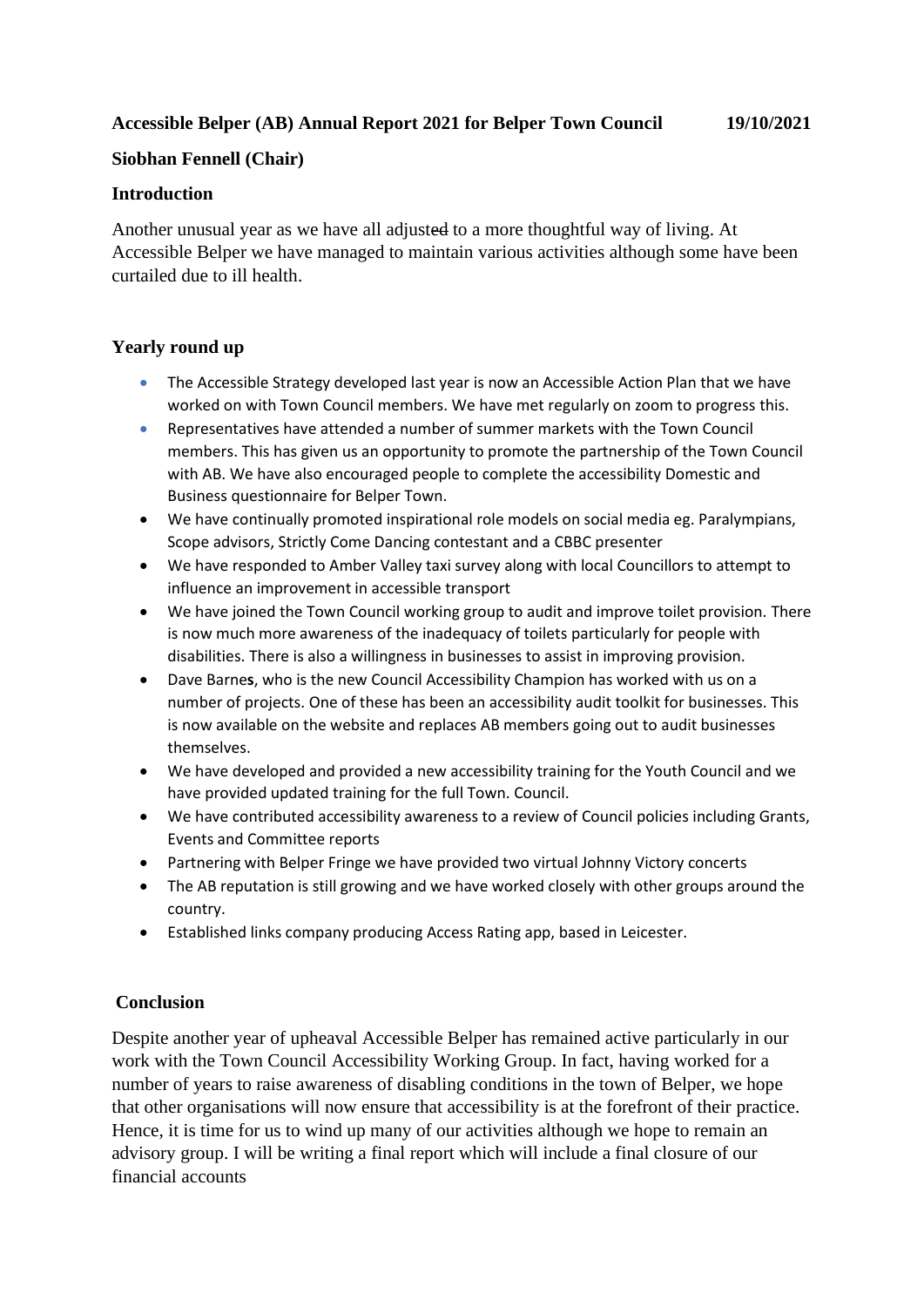# **Accessible Belper (AB) Annual Report 2021 for Belper Town Council 19/10/2021**

## **Siobhan Fennell (Chair)**

## **Introduction**

Another unusual year as we have all adjusted to a more thoughtful way of living. At Accessible Belper we have managed to maintain various activities although some have been curtailed due to ill health.

# **Yearly round up**

- The Accessible Strategy developed last year is now an Accessible Action Plan that we have worked on with Town Council members. We have met regularly on zoom to progress this.
- Representatives have attended a number of summer markets with the Town Council members. This has given us an opportunity to promote the partnership of the Town Council with AB. We have also encouraged people to complete the accessibility Domestic and Business questionnaire for Belper Town.
- We have continually promoted inspirational role models on social media eg. Paralympians, Scope advisors, Strictly Come Dancing contestant and a CBBC presenter
- We have responded to Amber Valley taxi survey along with local Councillors to attempt to influence an improvement in accessible transport
- We have joined the Town Council working group to audit and improve toilet provision. There is now much more awareness of the inadequacy of toilets particularly for people with disabilities. There is also a willingness in businesses to assist in improving provision.
- Dave Barne**s**, who is the new Council Accessibility Champion has worked with us on a number of projects. One of these has been an accessibility audit toolkit for businesses. This is now available on the website and replaces AB members going out to audit businesses themselves.
- We have developed and provided a new accessibility training for the Youth Council and we have provided updated training for the full Town. Council.
- We have contributed accessibility awareness to a review of Council policies including Grants, Events and Committee reports
- Partnering with Belper Fringe we have provided two virtual Johnny Victory concerts
- The AB reputation is still growing and we have worked closely with other groups around the country.
- Established links company producing Access Rating app, based in Leicester.

#### **Conclusion**

Despite another year of upheaval Accessible Belper has remained active particularly in our work with the Town Council Accessibility Working Group. In fact, having worked for a number of years to raise awareness of disabling conditions in the town of Belper, we hope that other organisations will now ensure that accessibility is at the forefront of their practice. Hence, it is time for us to wind up many of our activities although we hope to remain an advisory group. I will be writing a final report which will include a final closure of our financial accounts